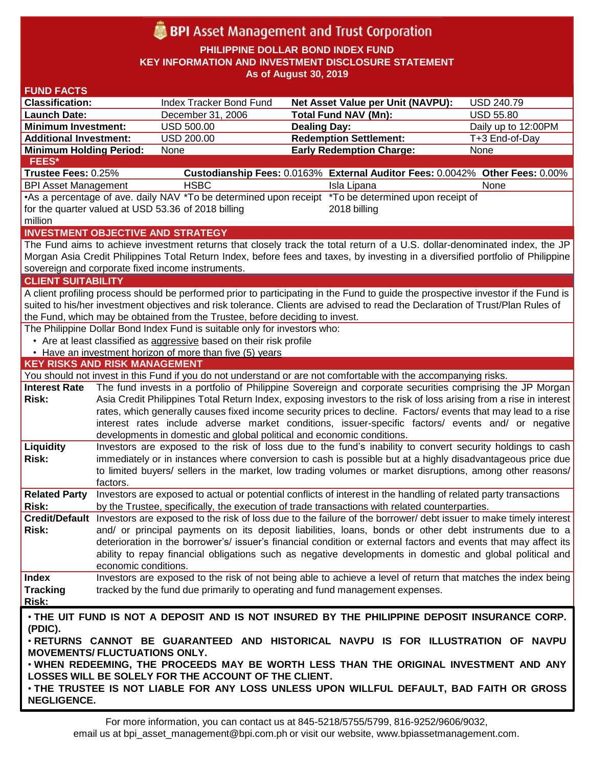# **BPI** Asset Management and Trust Corporation

**PHILIPPINE DOLLAR BOND INDEX FUND KEY INFORMATION AND INVESTMENT DISCLOSURE STATEMENT As of August 30, 2019**

| <b>FUND FACTS</b>                                                                                                             |                                                                                                                |                                                                              |                                                                                                                                    |                     |  |  |  |
|-------------------------------------------------------------------------------------------------------------------------------|----------------------------------------------------------------------------------------------------------------|------------------------------------------------------------------------------|------------------------------------------------------------------------------------------------------------------------------------|---------------------|--|--|--|
| <b>Classification:</b>                                                                                                        |                                                                                                                | Index Tracker Bond Fund                                                      | <b>Net Asset Value per Unit (NAVPU):</b>                                                                                           | <b>USD 240.79</b>   |  |  |  |
| <b>Launch Date:</b>                                                                                                           |                                                                                                                | December 31, 2006                                                            | <b>Total Fund NAV (Mn):</b>                                                                                                        | <b>USD 55.80</b>    |  |  |  |
| <b>Minimum Investment:</b>                                                                                                    |                                                                                                                | <b>USD 500.00</b>                                                            | <b>Dealing Day:</b>                                                                                                                | Daily up to 12:00PM |  |  |  |
| <b>Additional Investment:</b>                                                                                                 |                                                                                                                | <b>USD 200.00</b>                                                            | <b>Redemption Settlement:</b>                                                                                                      | T+3 End-of-Day      |  |  |  |
| <b>Minimum Holding Period:</b>                                                                                                |                                                                                                                | None                                                                         | <b>Early Redemption Charge:</b>                                                                                                    | None                |  |  |  |
| <b>FEES*</b>                                                                                                                  |                                                                                                                |                                                                              |                                                                                                                                    |                     |  |  |  |
| Trustee Fees: 0.25%                                                                                                           |                                                                                                                |                                                                              | Custodianship Fees: 0.0163% External Auditor Fees: 0.0042% Other Fees: 0.00%                                                       |                     |  |  |  |
| <b>BPI Asset Management</b>                                                                                                   |                                                                                                                | <b>HSBC</b>                                                                  | Isla Lipana                                                                                                                        | None                |  |  |  |
|                                                                                                                               |                                                                                                                | •As a percentage of ave. daily NAV *To be determined upon receipt            | *To be determined upon receipt of                                                                                                  |                     |  |  |  |
|                                                                                                                               |                                                                                                                | for the quarter valued at USD 53.36 of 2018 billing                          | 2018 billing                                                                                                                       |                     |  |  |  |
| million                                                                                                                       |                                                                                                                |                                                                              |                                                                                                                                    |                     |  |  |  |
|                                                                                                                               |                                                                                                                | <b>INVESTMENT OBJECTIVE AND STRATEGY</b>                                     |                                                                                                                                    |                     |  |  |  |
|                                                                                                                               |                                                                                                                |                                                                              | The Fund aims to achieve investment returns that closely track the total return of a U.S. dollar-denominated index, the JP         |                     |  |  |  |
|                                                                                                                               |                                                                                                                |                                                                              | Morgan Asia Credit Philippines Total Return Index, before fees and taxes, by investing in a diversified portfolio of Philippine    |                     |  |  |  |
|                                                                                                                               |                                                                                                                | sovereign and corporate fixed income instruments.                            |                                                                                                                                    |                     |  |  |  |
| <b>CLIENT SUITABILITY</b>                                                                                                     |                                                                                                                |                                                                              |                                                                                                                                    |                     |  |  |  |
|                                                                                                                               |                                                                                                                |                                                                              | A client profiling process should be performed prior to participating in the Fund to guide the prospective investor if the Fund is |                     |  |  |  |
|                                                                                                                               |                                                                                                                |                                                                              | suited to his/her investment objectives and risk tolerance. Clients are advised to read the Declaration of Trust/Plan Rules of     |                     |  |  |  |
|                                                                                                                               |                                                                                                                | the Fund, which may be obtained from the Trustee, before deciding to invest. |                                                                                                                                    |                     |  |  |  |
|                                                                                                                               |                                                                                                                | The Philippine Dollar Bond Index Fund is suitable only for investors who:    |                                                                                                                                    |                     |  |  |  |
|                                                                                                                               |                                                                                                                | • Are at least classified as aggressive based on their risk profile          |                                                                                                                                    |                     |  |  |  |
|                                                                                                                               |                                                                                                                | • Have an investment horizon of more than five (5) years                     |                                                                                                                                    |                     |  |  |  |
| <b>KEY RISKS AND RISK MANAGEMENT</b>                                                                                          |                                                                                                                |                                                                              |                                                                                                                                    |                     |  |  |  |
|                                                                                                                               |                                                                                                                |                                                                              | You should not invest in this Fund if you do not understand or are not comfortable with the accompanying risks.                    |                     |  |  |  |
| <b>Interest Rate</b>                                                                                                          |                                                                                                                |                                                                              | The fund invests in a portfolio of Philippine Sovereign and corporate securities comprising the JP Morgan                          |                     |  |  |  |
| Risk:                                                                                                                         |                                                                                                                |                                                                              | Asia Credit Philippines Total Return Index, exposing investors to the risk of loss arising from a rise in interest                 |                     |  |  |  |
|                                                                                                                               | rates, which generally causes fixed income security prices to decline. Factors/ events that may lead to a rise |                                                                              |                                                                                                                                    |                     |  |  |  |
|                                                                                                                               |                                                                                                                |                                                                              | interest rates include adverse market conditions, issuer-specific factors/ events and/ or negative                                 |                     |  |  |  |
|                                                                                                                               |                                                                                                                | developments in domestic and global political and economic conditions.       |                                                                                                                                    |                     |  |  |  |
| Liquidity                                                                                                                     |                                                                                                                |                                                                              | Investors are exposed to the risk of loss due to the fund's inability to convert security holdings to cash                         |                     |  |  |  |
| Risk:                                                                                                                         |                                                                                                                |                                                                              | immediately or in instances where conversion to cash is possible but at a highly disadvantageous price due                         |                     |  |  |  |
|                                                                                                                               |                                                                                                                |                                                                              | to limited buyers/ sellers in the market, low trading volumes or market disruptions, among other reasons/                          |                     |  |  |  |
|                                                                                                                               | factors.                                                                                                       |                                                                              |                                                                                                                                    |                     |  |  |  |
| <b>Related Party</b>                                                                                                          |                                                                                                                |                                                                              | Investors are exposed to actual or potential conflicts of interest in the handling of related party transactions                   |                     |  |  |  |
| Risk:                                                                                                                         |                                                                                                                |                                                                              | by the Trustee, specifically, the execution of trade transactions with related counterparties.                                     |                     |  |  |  |
|                                                                                                                               |                                                                                                                |                                                                              | Credit/Default Investors are exposed to the risk of loss due to the failure of the borrower/ debt issuer to make timely interest   |                     |  |  |  |
| Risk:                                                                                                                         |                                                                                                                |                                                                              | and/ or principal payments on its deposit liabilities, loans, bonds or other debt instruments due to a                             |                     |  |  |  |
|                                                                                                                               |                                                                                                                |                                                                              | deterioration in the borrower's/ issuer's financial condition or external factors and events that may affect its                   |                     |  |  |  |
|                                                                                                                               |                                                                                                                |                                                                              | ability to repay financial obligations such as negative developments in domestic and global political and                          |                     |  |  |  |
|                                                                                                                               | economic conditions.                                                                                           |                                                                              |                                                                                                                                    |                     |  |  |  |
| <b>Index</b>                                                                                                                  |                                                                                                                |                                                                              | Investors are exposed to the risk of not being able to achieve a level of return that matches the index being                      |                     |  |  |  |
| <b>Tracking</b>                                                                                                               |                                                                                                                |                                                                              | tracked by the fund due primarily to operating and fund management expenses.                                                       |                     |  |  |  |
| Risk:                                                                                                                         |                                                                                                                |                                                                              |                                                                                                                                    |                     |  |  |  |
|                                                                                                                               |                                                                                                                |                                                                              |                                                                                                                                    |                     |  |  |  |
| . THE UIT FUND IS NOT A DEPOSIT AND IS NOT INSURED BY THE PHILIPPINE DEPOSIT INSURANCE CORP.                                  |                                                                                                                |                                                                              |                                                                                                                                    |                     |  |  |  |
| (PDIC).                                                                                                                       |                                                                                                                |                                                                              |                                                                                                                                    |                     |  |  |  |
| . RETURNS CANNOT BE GUARANTEED AND HISTORICAL NAVPU IS FOR ILLUSTRATION OF NAVPU                                              |                                                                                                                |                                                                              |                                                                                                                                    |                     |  |  |  |
| <b>MOVEMENTS/ FLUCTUATIONS ONLY.</b><br>. WHEN REDEEMING, THE PROCEEDS MAY BE WORTH LESS THAN THE ORIGINAL INVESTMENT AND ANY |                                                                                                                |                                                                              |                                                                                                                                    |                     |  |  |  |
|                                                                                                                               |                                                                                                                |                                                                              |                                                                                                                                    |                     |  |  |  |
|                                                                                                                               |                                                                                                                |                                                                              |                                                                                                                                    |                     |  |  |  |
|                                                                                                                               |                                                                                                                | LOSSES WILL BE SOLELY FOR THE ACCOUNT OF THE CLIENT.                         |                                                                                                                                    |                     |  |  |  |
| <b>NEGLIGENCE.</b>                                                                                                            |                                                                                                                |                                                                              | . THE TRUSTEE IS NOT LIABLE FOR ANY LOSS UNLESS UPON WILLFUL DEFAULT, BAD FAITH OR GROSS                                           |                     |  |  |  |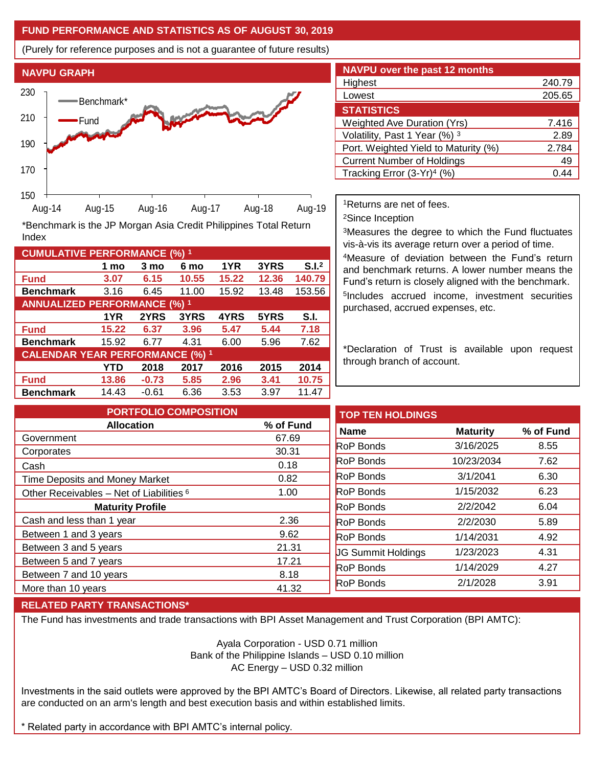## **FUND PERFORMANCE AND STATISTICS AS OF AUGUST 30, 2019**

(Purely for reference purposes and is not a guarantee of future results)



**Fund 3.07 6.15 10.55 15.22 12.36 140.79 Benchmark** 3.16 6.45 11.00 15.92 13.48 153.56

\*Benchmark is the JP Morgan Asia Credit Philippines Total Return

**Fund 15.22 6.37 3.96 5.47 5.44 7.18 Benchmark** 15.92 6.77 4.31 6.00 5.96 7.62

**Fund 13.86 -0.73 5.85 2.96 3.41 10.75 Benchmark** 14.43 -0.61 6.36 3.53 3.97 11.47

**1 mo 3 mo 6 mo 1YR 3YRS S.I.<sup>2</sup>**

**1YR 2YRS 3YRS 4YRS 5YRS S.I.**

**YTD 2018 2017 2016 2015 2014**

| <b>NAVPU over the past 12 months</b>   |        |  |  |  |
|----------------------------------------|--------|--|--|--|
| Highest                                | 240.79 |  |  |  |
| Lowest                                 | 205.65 |  |  |  |
| <b>STATISTICS</b>                      |        |  |  |  |
| <b>Weighted Ave Duration (Yrs)</b>     | 7.416  |  |  |  |
| Volatility, Past 1 Year (%) 3          | 2.89   |  |  |  |
| Port. Weighted Yield to Maturity (%)   | 2.784  |  |  |  |
| <b>Current Number of Holdings</b>      | 49     |  |  |  |
| Tracking Error (3-Yr) <sup>4</sup> (%) | 4      |  |  |  |

<sup>1</sup>Returns are net of fees.

<sup>2</sup>Since Inception

<sup>3</sup>Measures the degree to which the Fund fluctuates vis-à-vis its average return over a period of time.

<sup>4</sup>Measure of deviation between the Fund's return and benchmark returns. A lower number means the Fund's return is closely aligned with the benchmark. 5 Includes accrued income, investment securities purchased, accrued expenses, etc.

\*Declaration of Trust is available upon request through branch of account.

| <b>PORTFOLIO COMPOSITION</b>                        |           | <b>TOP TEN HOLDINGS</b>   |                 |           |
|-----------------------------------------------------|-----------|---------------------------|-----------------|-----------|
| <b>Allocation</b>                                   | % of Fund | <b>Name</b>               | <b>Maturity</b> | % of Fund |
| Government                                          | 67.69     |                           |                 |           |
| Corporates                                          | 30.31     | <b>RoP Bonds</b>          | 3/16/2025       | 8.55      |
| Cash                                                | 0.18      | <b>RoP Bonds</b>          | 10/23/2034      | 7.62      |
| <b>Time Deposits and Money Market</b>               | 0.82      | <b>RoP Bonds</b>          | 3/1/2041        | 6.30      |
| Other Receivables - Net of Liabilities <sup>6</sup> | 1.00      | <b>RoP Bonds</b>          | 1/15/2032       | 6.23      |
| <b>Maturity Profile</b>                             |           | <b>RoP Bonds</b>          | 2/2/2042        | 6.04      |
| Cash and less than 1 year                           | 2.36      | <b>RoP Bonds</b>          | 2/2/2030        | 5.89      |
| Between 1 and 3 years                               | 9.62      | <b>RoP Bonds</b>          | 1/14/2031       | 4.92      |
| Between 3 and 5 years                               | 21.31     | <b>JG Summit Holdings</b> | 1/23/2023       | 4.31      |
| Between 5 and 7 years                               | 17.21     |                           |                 |           |
| Between 7 and 10 years                              | 8.18      | <b>RoP Bonds</b>          | 1/14/2029       | 4.27      |
| More than 10 years                                  | 41.32     | RoP Bonds                 | 2/1/2028        | 3.91      |
|                                                     |           |                           |                 |           |

### **RELATED PARTY TRANSACTIONS\***

**CUMULATIVE PERFORMANCE (%) <sup>1</sup>**

Index

**ANNUALIZED PERFORMANCE (%) <sup>1</sup>**

**CALENDAR YEAR PERFORMANCE (%) <sup>1</sup>**

The Fund has investments and trade transactions with BPI Asset Management and Trust Corporation (BPI AMTC):

Ayala Corporation - USD 0.71 million Bank of the Philippine Islands – USD 0.10 million AC Energy – USD 0.32 million

Investments in the said outlets were approved by the BPI AMTC's Board of Directors. Likewise, all related party transactions are conducted on an arm's length and best execution basis and within established limits.

\* Related party in accordance with BPI AMTC's internal policy.